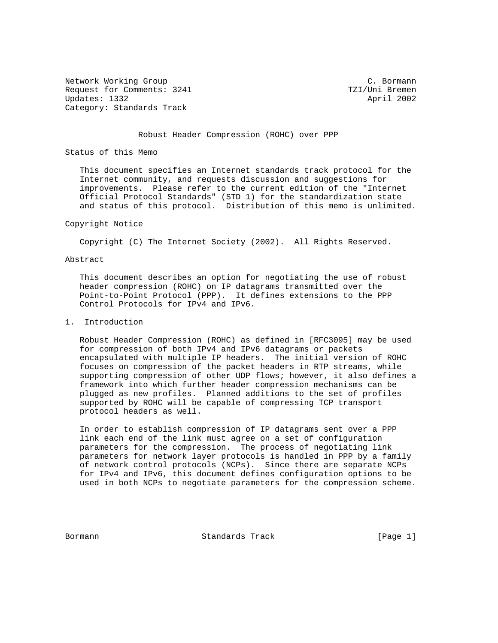Network Working Group C. Bormann Request for Comments: 3241 TZI/Uni Bremen Updates: 1332 April 2002 Category: Standards Track

## Robust Header Compression (ROHC) over PPP

Status of this Memo

 This document specifies an Internet standards track protocol for the Internet community, and requests discussion and suggestions for improvements. Please refer to the current edition of the "Internet Official Protocol Standards" (STD 1) for the standardization state and status of this protocol. Distribution of this memo is unlimited.

#### Copyright Notice

Copyright (C) The Internet Society (2002). All Rights Reserved.

## Abstract

 This document describes an option for negotiating the use of robust header compression (ROHC) on IP datagrams transmitted over the Point-to-Point Protocol (PPP). It defines extensions to the PPP Control Protocols for IPv4 and IPv6.

## 1. Introduction

 Robust Header Compression (ROHC) as defined in [RFC3095] may be used for compression of both IPv4 and IPv6 datagrams or packets encapsulated with multiple IP headers. The initial version of ROHC focuses on compression of the packet headers in RTP streams, while supporting compression of other UDP flows; however, it also defines a framework into which further header compression mechanisms can be plugged as new profiles. Planned additions to the set of profiles supported by ROHC will be capable of compressing TCP transport protocol headers as well.

 In order to establish compression of IP datagrams sent over a PPP link each end of the link must agree on a set of configuration parameters for the compression. The process of negotiating link parameters for network layer protocols is handled in PPP by a family of network control protocols (NCPs). Since there are separate NCPs for IPv4 and IPv6, this document defines configuration options to be used in both NCPs to negotiate parameters for the compression scheme.

Bormann **Standards Track** [Page 1]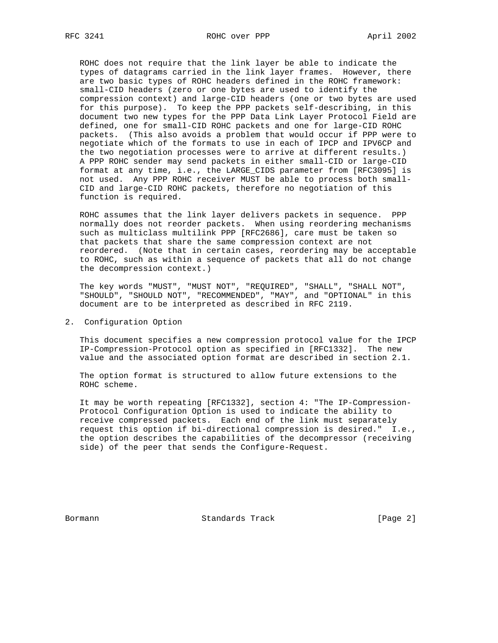ROHC does not require that the link layer be able to indicate the types of datagrams carried in the link layer frames. However, there are two basic types of ROHC headers defined in the ROHC framework: small-CID headers (zero or one bytes are used to identify the compression context) and large-CID headers (one or two bytes are used for this purpose). To keep the PPP packets self-describing, in this document two new types for the PPP Data Link Layer Protocol Field are defined, one for small-CID ROHC packets and one for large-CID ROHC packets. (This also avoids a problem that would occur if PPP were to negotiate which of the formats to use in each of IPCP and IPV6CP and the two negotiation processes were to arrive at different results.) A PPP ROHC sender may send packets in either small-CID or large-CID format at any time, i.e., the LARGE\_CIDS parameter from [RFC3095] is not used. Any PPP ROHC receiver MUST be able to process both small- CID and large-CID ROHC packets, therefore no negotiation of this function is required.

 ROHC assumes that the link layer delivers packets in sequence. PPP normally does not reorder packets. When using reordering mechanisms such as multiclass multilink PPP [RFC2686], care must be taken so that packets that share the same compression context are not reordered. (Note that in certain cases, reordering may be acceptable to ROHC, such as within a sequence of packets that all do not change the decompression context.)

 The key words "MUST", "MUST NOT", "REQUIRED", "SHALL", "SHALL NOT", "SHOULD", "SHOULD NOT", "RECOMMENDED", "MAY", and "OPTIONAL" in this document are to be interpreted as described in RFC 2119.

2. Configuration Option

 This document specifies a new compression protocol value for the IPCP IP-Compression-Protocol option as specified in [RFC1332]. The new value and the associated option format are described in section 2.1.

 The option format is structured to allow future extensions to the ROHC scheme.

 It may be worth repeating [RFC1332], section 4: "The IP-Compression- Protocol Configuration Option is used to indicate the ability to receive compressed packets. Each end of the link must separately request this option if bi-directional compression is desired." I.e., the option describes the capabilities of the decompressor (receiving side) of the peer that sends the Configure-Request.

Bormann **Standards Track** [Page 2]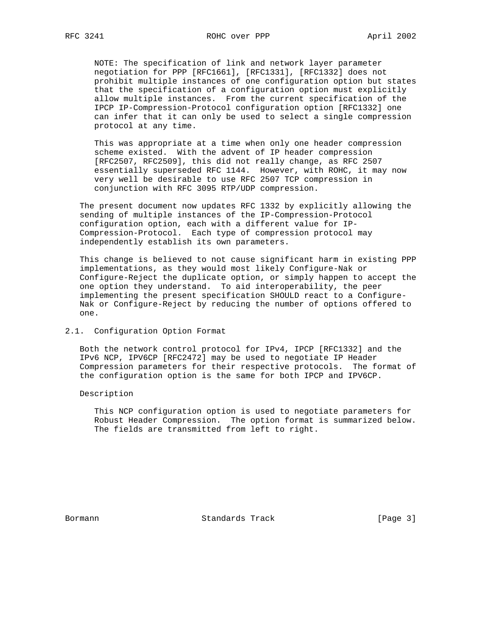NOTE: The specification of link and network layer parameter negotiation for PPP [RFC1661], [RFC1331], [RFC1332] does not prohibit multiple instances of one configuration option but states that the specification of a configuration option must explicitly allow multiple instances. From the current specification of the IPCP IP-Compression-Protocol configuration option [RFC1332] one can infer that it can only be used to select a single compression protocol at any time.

 This was appropriate at a time when only one header compression scheme existed. With the advent of IP header compression [RFC2507, RFC2509], this did not really change, as RFC 2507 essentially superseded RFC 1144. However, with ROHC, it may now very well be desirable to use RFC 2507 TCP compression in conjunction with RFC 3095 RTP/UDP compression.

 The present document now updates RFC 1332 by explicitly allowing the sending of multiple instances of the IP-Compression-Protocol configuration option, each with a different value for IP- Compression-Protocol. Each type of compression protocol may independently establish its own parameters.

 This change is believed to not cause significant harm in existing PPP implementations, as they would most likely Configure-Nak or Configure-Reject the duplicate option, or simply happen to accept the one option they understand. To aid interoperability, the peer implementing the present specification SHOULD react to a Configure- Nak or Configure-Reject by reducing the number of options offered to one.

## 2.1. Configuration Option Format

 Both the network control protocol for IPv4, IPCP [RFC1332] and the IPv6 NCP, IPV6CP [RFC2472] may be used to negotiate IP Header Compression parameters for their respective protocols. The format of the configuration option is the same for both IPCP and IPV6CP.

#### Description

 This NCP configuration option is used to negotiate parameters for Robust Header Compression. The option format is summarized below. The fields are transmitted from left to right.

Bormann **Standards Track** [Page 3]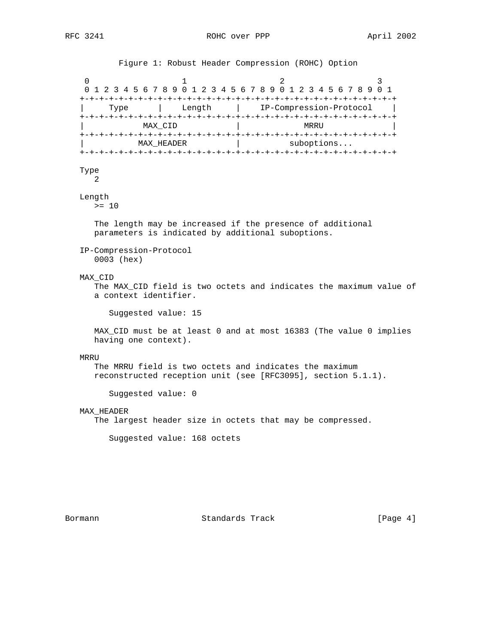Figure 1: Robust Header Compression (ROHC) Option

0  $1$  2 3 0 1 2 3 4 5 6 7 8 9 0 1 2 3 4 5 6 7 8 9 0 1 2 3 4 5 6 7 8 9 0 1 +-+-+-+-+-+-+-+-+-+-+-+-+-+-+-+-+-+-+-+-+-+-+-+-+-+-+-+-+-+-+-+-+ | Type | Length | IP-Compression-Protocol | +-+-+-+-+-+-+-+-+-+-+-+-+-+-+-+-+-+-+-+-+-+-+-+-+-+-+-+-+-+-+-+-+ | MAX\_CID | MRRU +-+-+-+-+-+-+-+-+-+-+-+-+-+-+-+-+-+-+-+-+-+-+-+-+-+-+-+-+-+-+-+-+ MAX\_HEADER | suboptions... +-+-+-+-+-+-+-+-+-+-+-+-+-+-+-+-+-+-+-+-+-+-+-+-+-+-+-+-+-+-+-+-+ Type 2 Length  $>= 10$  The length may be increased if the presence of additional parameters is indicated by additional suboptions. IP-Compression-Protocol 0003 (hex) MAX\_CID The MAX\_CID field is two octets and indicates the maximum value of a context identifier. Suggested value: 15 MAX\_CID must be at least 0 and at most 16383 (The value 0 implies having one context). MRRU The MRRU field is two octets and indicates the maximum reconstructed reception unit (see [RFC3095], section 5.1.1). Suggested value: 0 MAX\_HEADER The largest header size in octets that may be compressed. Suggested value: 168 octets

Bormann **Standards Track** [Page 4]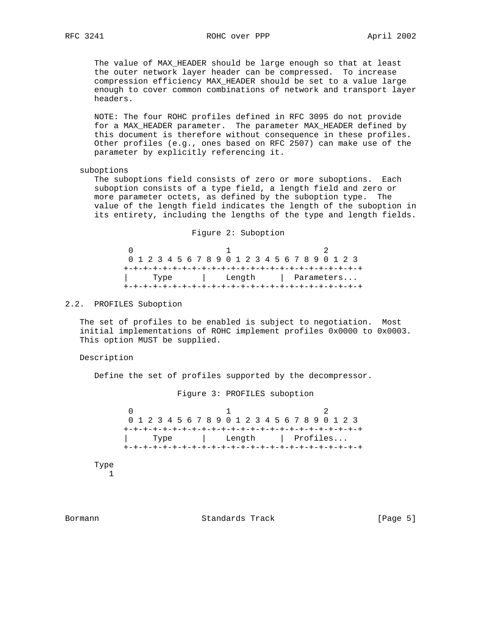The value of MAX\_HEADER should be large enough so that at least the outer network layer header can be compressed. To increase compression efficiency MAX\_HEADER should be set to a value large enough to cover common combinations of network and transport layer headers.

 NOTE: The four ROHC profiles defined in RFC 3095 do not provide for a MAX\_HEADER parameter. The parameter MAX\_HEADER defined by this document is therefore without consequence in these profiles. Other profiles (e.g., ones based on RFC 2507) can make use of the parameter by explicitly referencing it.

#### suboptions

 The suboptions field consists of zero or more suboptions. Each suboption consists of a type field, a length field and zero or more parameter octets, as defined by the suboption type. The value of the length field indicates the length of the suboption in its entirety, including the lengths of the type and length fields.

#### Figure 2: Suboption

 $0$  and  $1$  and  $2$  0 1 2 3 4 5 6 7 8 9 0 1 2 3 4 5 6 7 8 9 0 1 2 3 +-+-+-+-+-+-+-+-+-+-+-+-+-+-+-+-+-+-+-+-+-+-+-+-+ | Type | Length | Parameters... +-+-+-+-+-+-+-+-+-+-+-+-+-+-+-+-+-+-+-+-+-+-+-+-+

## 2.2. PROFILES Suboption

 The set of profiles to be enabled is subject to negotiation. Most initial implementations of ROHC implement profiles 0x0000 to 0x0003. This option MUST be supplied.

## Description

Define the set of profiles supported by the decompressor.

Figure 3: PROFILES suboption

 $0$  and  $1$  and  $2$  0 1 2 3 4 5 6 7 8 9 0 1 2 3 4 5 6 7 8 9 0 1 2 3 +-+-+-+-+-+-+-+-+-+-+-+-+-+-+-+-+-+-+-+-+-+-+-+-+ | Type | Length | Profiles... +-+-+-+-+-+-+-+-+-+-+-+-+-+-+-+-+-+-+-+-+-+-+-+-+

 Type 1

Bormann **Standards Track** [Page 5]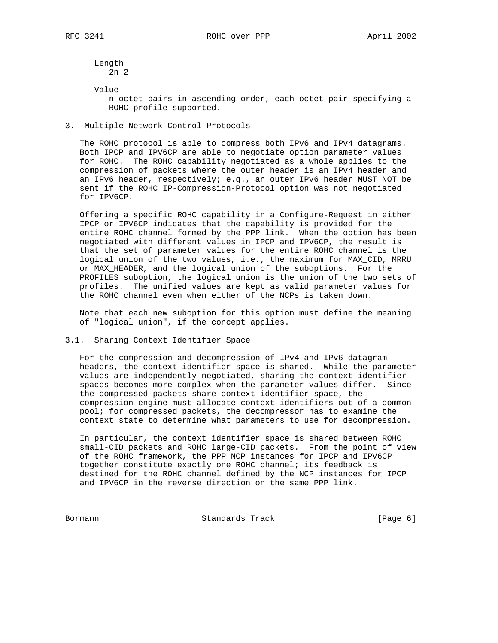Length 2n+2

Value

 n octet-pairs in ascending order, each octet-pair specifying a ROHC profile supported.

3. Multiple Network Control Protocols

 The ROHC protocol is able to compress both IPv6 and IPv4 datagrams. Both IPCP and IPV6CP are able to negotiate option parameter values for ROHC. The ROHC capability negotiated as a whole applies to the compression of packets where the outer header is an IPv4 header and an IPv6 header, respectively; e.g., an outer IPv6 header MUST NOT be sent if the ROHC IP-Compression-Protocol option was not negotiated for IPV6CP.

 Offering a specific ROHC capability in a Configure-Request in either IPCP or IPV6CP indicates that the capability is provided for the entire ROHC channel formed by the PPP link. When the option has been negotiated with different values in IPCP and IPV6CP, the result is that the set of parameter values for the entire ROHC channel is the logical union of the two values, i.e., the maximum for MAX\_CID, MRRU or MAX\_HEADER, and the logical union of the suboptions. For the PROFILES suboption, the logical union is the union of the two sets of profiles. The unified values are kept as valid parameter values for the ROHC channel even when either of the NCPs is taken down.

 Note that each new suboption for this option must define the meaning of "logical union", if the concept applies.

3.1. Sharing Context Identifier Space

 For the compression and decompression of IPv4 and IPv6 datagram headers, the context identifier space is shared. While the parameter values are independently negotiated, sharing the context identifier spaces becomes more complex when the parameter values differ. Since the compressed packets share context identifier space, the compression engine must allocate context identifiers out of a common pool; for compressed packets, the decompressor has to examine the context state to determine what parameters to use for decompression.

 In particular, the context identifier space is shared between ROHC small-CID packets and ROHC large-CID packets. From the point of view of the ROHC framework, the PPP NCP instances for IPCP and IPV6CP together constitute exactly one ROHC channel; its feedback is destined for the ROHC channel defined by the NCP instances for IPCP and IPV6CP in the reverse direction on the same PPP link.

Bormann **Standards Track** [Page 6]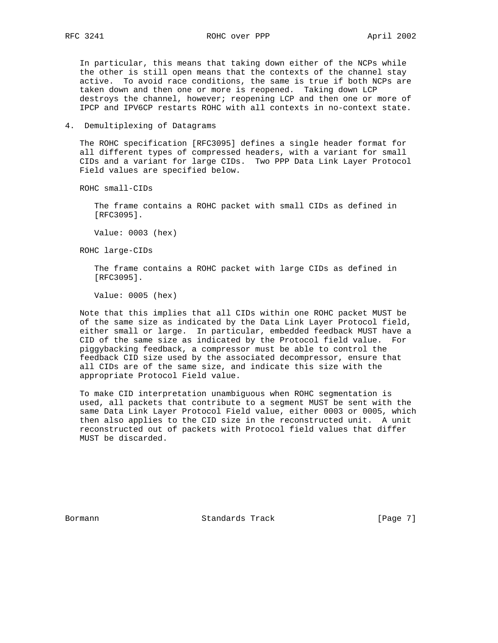In particular, this means that taking down either of the NCPs while the other is still open means that the contexts of the channel stay active. To avoid race conditions, the same is true if both NCPs are taken down and then one or more is reopened. Taking down LCP destroys the channel, however; reopening LCP and then one or more of IPCP and IPV6CP restarts ROHC with all contexts in no-context state.

4. Demultiplexing of Datagrams

 The ROHC specification [RFC3095] defines a single header format for all different types of compressed headers, with a variant for small CIDs and a variant for large CIDs. Two PPP Data Link Layer Protocol Field values are specified below.

ROHC small-CIDs

 The frame contains a ROHC packet with small CIDs as defined in [RFC3095].

Value: 0003 (hex)

ROHC large-CIDs

 The frame contains a ROHC packet with large CIDs as defined in [RFC3095].

Value: 0005 (hex)

 Note that this implies that all CIDs within one ROHC packet MUST be of the same size as indicated by the Data Link Layer Protocol field, either small or large. In particular, embedded feedback MUST have a CID of the same size as indicated by the Protocol field value. For piggybacking feedback, a compressor must be able to control the feedback CID size used by the associated decompressor, ensure that all CIDs are of the same size, and indicate this size with the appropriate Protocol Field value.

 To make CID interpretation unambiguous when ROHC segmentation is used, all packets that contribute to a segment MUST be sent with the same Data Link Layer Protocol Field value, either 0003 or 0005, which then also applies to the CID size in the reconstructed unit. A unit reconstructed out of packets with Protocol field values that differ MUST be discarded.

Bormann **Standards Track** [Page 7]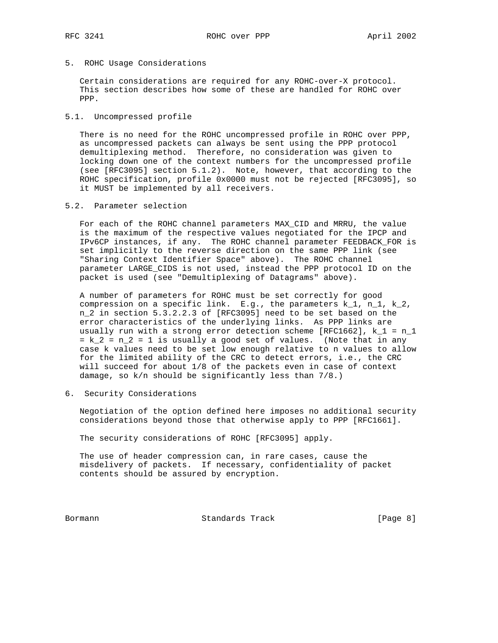5. ROHC Usage Considerations

 Certain considerations are required for any ROHC-over-X protocol. This section describes how some of these are handled for ROHC over PPP.

5.1. Uncompressed profile

 There is no need for the ROHC uncompressed profile in ROHC over PPP, as uncompressed packets can always be sent using the PPP protocol demultiplexing method. Therefore, no consideration was given to locking down one of the context numbers for the uncompressed profile (see [RFC3095] section 5.1.2). Note, however, that according to the ROHC specification, profile 0x0000 must not be rejected [RFC3095], so it MUST be implemented by all receivers.

5.2. Parameter selection

 For each of the ROHC channel parameters MAX\_CID and MRRU, the value is the maximum of the respective values negotiated for the IPCP and IPv6CP instances, if any. The ROHC channel parameter FEEDBACK\_FOR is set implicitly to the reverse direction on the same PPP link (see "Sharing Context Identifier Space" above). The ROHC channel parameter LARGE\_CIDS is not used, instead the PPP protocol ID on the packet is used (see "Demultiplexing of Datagrams" above).

 A number of parameters for ROHC must be set correctly for good compression on a specific link. E.g., the parameters  $k_1$ ,  $n_1$ ,  $k_2$ , n\_2 in section 5.3.2.2.3 of [RFC3095] need to be set based on the error characteristics of the underlying links. As PPP links are usually run with a strong error detection scheme [RFC1662],  $k_1 = n_1$  $= k_2 = n_2 = 1$  is usually a good set of values. (Note that in any case k values need to be set low enough relative to n values to allow for the limited ability of the CRC to detect errors, i.e., the CRC will succeed for about 1/8 of the packets even in case of context damage, so k/n should be significantly less than 7/8.)

6. Security Considerations

 Negotiation of the option defined here imposes no additional security considerations beyond those that otherwise apply to PPP [RFC1661].

The security considerations of ROHC [RFC3095] apply.

 The use of header compression can, in rare cases, cause the misdelivery of packets. If necessary, confidentiality of packet contents should be assured by encryption.

Bormann **Standards Track** [Page 8]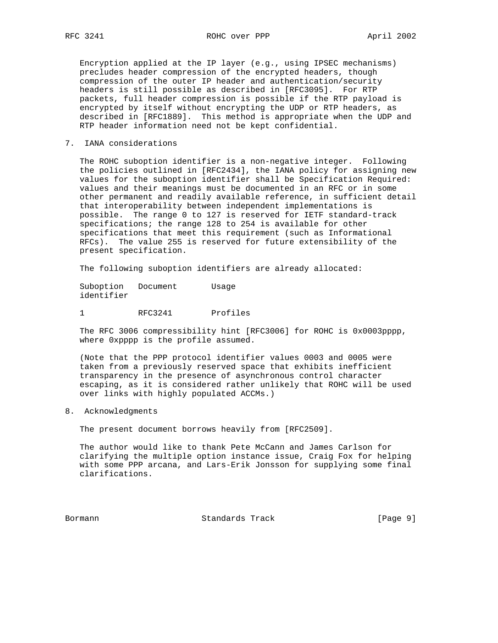Encryption applied at the IP layer (e.g., using IPSEC mechanisms) precludes header compression of the encrypted headers, though compression of the outer IP header and authentication/security headers is still possible as described in [RFC3095]. For RTP packets, full header compression is possible if the RTP payload is encrypted by itself without encrypting the UDP or RTP headers, as described in [RFC1889]. This method is appropriate when the UDP and RTP header information need not be kept confidential.

7. IANA considerations

 The ROHC suboption identifier is a non-negative integer. Following the policies outlined in [RFC2434], the IANA policy for assigning new values for the suboption identifier shall be Specification Required: values and their meanings must be documented in an RFC or in some other permanent and readily available reference, in sufficient detail that interoperability between independent implementations is possible. The range 0 to 127 is reserved for IETF standard-track specifications; the range 128 to 254 is available for other specifications that meet this requirement (such as Informational RFCs). The value 255 is reserved for future extensibility of the present specification.

The following suboption identifiers are already allocated:

Suboption Document Usage identifier

1 RFC3241 Profiles

 The RFC 3006 compressibility hint [RFC3006] for ROHC is 0x0003pppp, where 0xpppp is the profile assumed.

 (Note that the PPP protocol identifier values 0003 and 0005 were taken from a previously reserved space that exhibits inefficient transparency in the presence of asynchronous control character escaping, as it is considered rather unlikely that ROHC will be used over links with highly populated ACCMs.)

## 8. Acknowledgments

The present document borrows heavily from [RFC2509].

 The author would like to thank Pete McCann and James Carlson for clarifying the multiple option instance issue, Craig Fox for helping with some PPP arcana, and Lars-Erik Jonsson for supplying some final clarifications.

Bormann **Standards Track** [Page 9]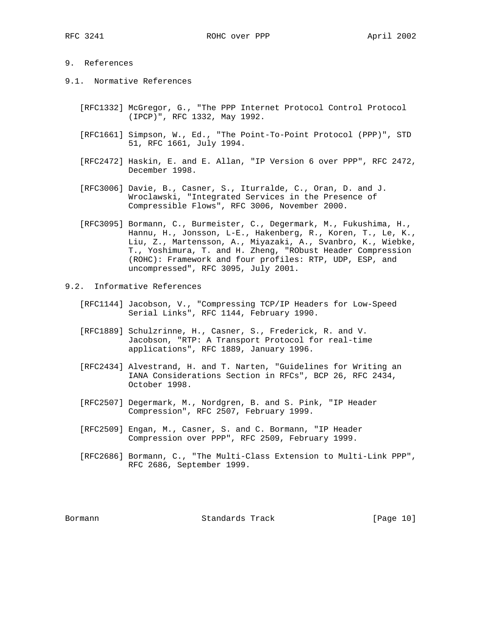# 9. References

- 9.1. Normative References
	- [RFC1332] McGregor, G., "The PPP Internet Protocol Control Protocol (IPCP)", RFC 1332, May 1992.
	- [RFC1661] Simpson, W., Ed., "The Point-To-Point Protocol (PPP)", STD 51, RFC 1661, July 1994.
	- [RFC2472] Haskin, E. and E. Allan, "IP Version 6 over PPP", RFC 2472, December 1998.
	- [RFC3006] Davie, B., Casner, S., Iturralde, C., Oran, D. and J. Wroclawski, "Integrated Services in the Presence of Compressible Flows", RFC 3006, November 2000.
	- [RFC3095] Bormann, C., Burmeister, C., Degermark, M., Fukushima, H., Hannu, H., Jonsson, L-E., Hakenberg, R., Koren, T., Le, K., Liu, Z., Martensson, A., Miyazaki, A., Svanbro, K., Wiebke, T., Yoshimura, T. and H. Zheng, "RObust Header Compression (ROHC): Framework and four profiles: RTP, UDP, ESP, and uncompressed", RFC 3095, July 2001.
- 9.2. Informative References
	- [RFC1144] Jacobson, V., "Compressing TCP/IP Headers for Low-Speed Serial Links", RFC 1144, February 1990.
	- [RFC1889] Schulzrinne, H., Casner, S., Frederick, R. and V. Jacobson, "RTP: A Transport Protocol for real-time applications", RFC 1889, January 1996.
	- [RFC2434] Alvestrand, H. and T. Narten, "Guidelines for Writing an IANA Considerations Section in RFCs", BCP 26, RFC 2434, October 1998.
	- [RFC2507] Degermark, M., Nordgren, B. and S. Pink, "IP Header Compression", RFC 2507, February 1999.
	- [RFC2509] Engan, M., Casner, S. and C. Bormann, "IP Header Compression over PPP", RFC 2509, February 1999.
	- [RFC2686] Bormann, C., "The Multi-Class Extension to Multi-Link PPP", RFC 2686, September 1999.

Bormann **Standards Track** [Page 10]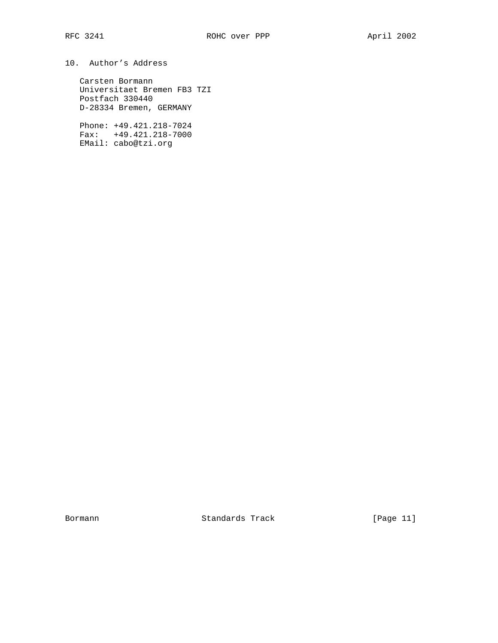# 10. Author's Address

 Carsten Bormann Universitaet Bremen FB3 TZI Postfach 330440 D-28334 Bremen, GERMANY

 Phone: +49.421.218-7024 Fax: +49.421.218-7000 EMail: cabo@tzi.org

Bormann Standards Track [Page 11]